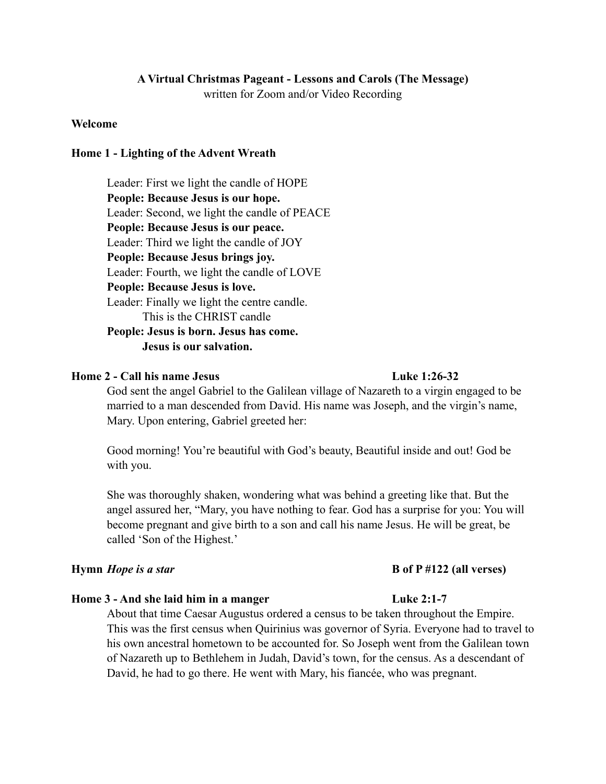# **A Virtual Christmas Pageant - Lessons and Carols (The Message)**

written for Zoom and/or Video Recording

### **Welcome**

### **Home 1 - Lighting of the Advent Wreath**

 Leader: First we light the candle of HOPE **People: Because Jesus is our hope.** Leader: Second, we light the candle of PEACE **People: Because Jesus is our peace.** Leader: Third we light the candle of JOY **People: Because Jesus brings joy.**  Leader: Fourth, we light the candle of LOVE **People: Because Jesus is love.**  Leader: Finally we light the centre candle. This is the CHRIST candle **People: Jesus is born. Jesus has come. Jesus is our salvation.** 

### **Home 2 - Call his name Jesus Luke 1:26-32**

 God sent the angel Gabriel to the Galilean village of Nazareth to a virgin engaged to be married to a man descended from David. His name was Joseph, and the virgin's name, Mary. Upon entering, Gabriel greeted her:

 Good morning! You're beautiful with God's beauty, Beautiful inside and out! God be with you.

 She was thoroughly shaken, wondering what was behind a greeting like that. But the angel assured her, "Mary, you have nothing to fear. God has a surprise for you: You will become pregnant and give birth to a son and call his name Jesus. He will be great, be called 'Son of the Highest.'

### **Hymn** *Hope is a star* **B of P #122 (all verses)**

### **Home 3 - And she laid him in a manger Luke 2:1-7**

 About that time Caesar Augustus ordered a census to be taken throughout the Empire. This was the first census when Quirinius was governor of Syria. Everyone had to travel to his own ancestral hometown to be accounted for. So Joseph went from the Galilean town of Nazareth up to Bethlehem in Judah, David's town, for the census. As a descendant of David, he had to go there. He went with Mary, his fiancée, who was pregnant.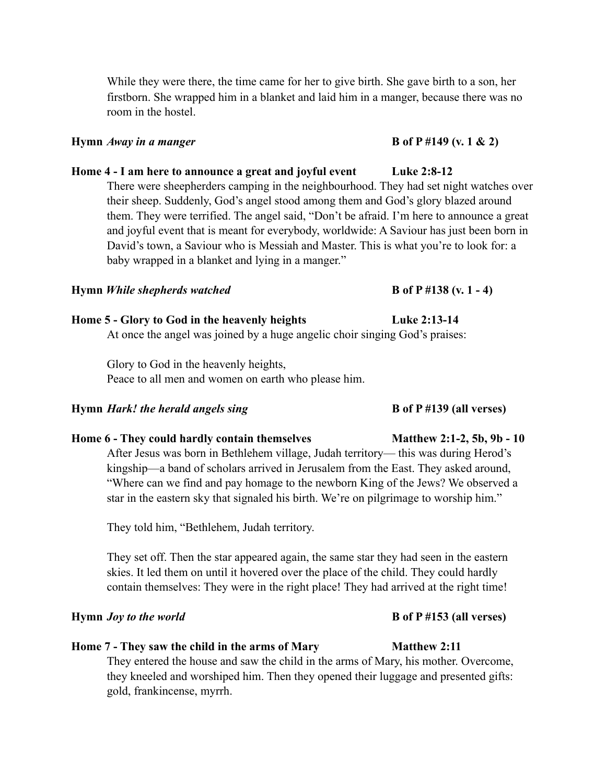While they were there, the time came for her to give birth. She gave birth to a son, her firstborn. She wrapped him in a blanket and laid him in a manger, because there was no room in the hostel.

### **Hymn** *Away in a manger* **B** of P #149 (v. 1 & 2)

## **Home 4 - I am here to announce a great and joyful event Luke 2:8-12**

 There were sheepherders camping in the neighbourhood. They had set night watches over their sheep. Suddenly, God's angel stood among them and God's glory blazed around them. They were terrified. The angel said, "Don't be afraid. I'm here to announce a great and joyful event that is meant for everybody, worldwide: A Saviour has just been born in David's town, a Saviour who is Messiah and Master. This is what you're to look for: a baby wrapped in a blanket and lying in a manger."

## **Hymn** *While shepherds watched* **B B** of P #138 (v. 1 - 4)

## **Home 5 - Glory to God in the heavenly heights Luke 2:13-14**

At once the angel was joined by a huge angelic choir singing God's praises:

 Glory to God in the heavenly heights, Peace to all men and women on earth who please him.

### **Hymn** *Hark!* the herald angels sing **B** of P #139 (all verses)

## Home 6 - They could hardly contain themselves Matthew 2:1-2, 5b, 9b - 10

 After Jesus was born in Bethlehem village, Judah territory— this was during Herod's kingship—a band of scholars arrived in Jerusalem from the East. They asked around, "Where can we find and pay homage to the newborn King of the Jews? We observed a star in the eastern sky that signaled his birth. We're on pilgrimage to worship him."

They told him, "Bethlehem, Judah territory.

 They set off. Then the star appeared again, the same star they had seen in the eastern skies. It led them on until it hovered over the place of the child. They could hardly contain themselves: They were in the right place! They had arrived at the right time!

## **Hymn** *Joy to the world* **B** of P #153 (all verses)

## Home 7 - They saw the child in the arms of Mary Matthew 2:11

 They entered the house and saw the child in the arms of Mary, his mother. Overcome, they kneeled and worshiped him. Then they opened their luggage and presented gifts: gold, frankincense, myrrh.